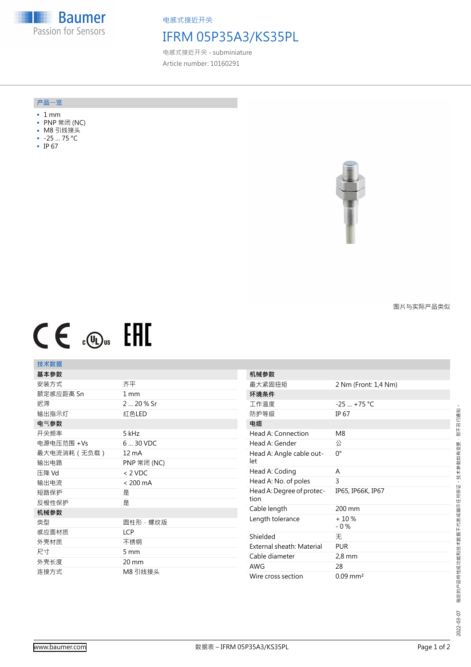

电感式接近开关

# IFRM 05P35A3/KS35PL

电感式接近开关 - subminiature Article number: 10160291

#### **产品**一**览**

- 1 mm
- PNP 常闭 (NC)
- M8 引线接头
- -25 … 75 °C
- IP 67



图片与实际产品类似

# $CE \text{ and } CH$

## **技术数据**

| 基本参数       |             |                    | ₹            |
|------------|-------------|--------------------|--------------|
| 安装方式       |             | 齐平                 | f            |
| 额定感应距离 Sn  |             | $1 \text{ mm}$     | I            |
| 迟滞         |             | 2  20 % Sr         |              |
| 输出指示灯      |             | 红色LED              | $\beta$      |
| 电气参数       |             |                    | E            |
| 开关频率       |             | 5 kHz              | ŀ            |
| 电源电压范围 +Vs |             | 6  30 VDC          | ŀ            |
|            | 最大电流消耗(无负载) | $12 \text{ mA}$    | ŀ            |
| 输出电路       |             | PNP 常闭 (NC)        | k            |
| 压降 Vd      |             | $< 2$ VDC          | ŀ            |
| 输出电流       |             | $< 200 \text{ mA}$ | ŀ            |
| 短路保护       |             | 是                  | Ë            |
| 反极性保护      |             | 是                  | t            |
| 机械参数       |             |                    | C            |
| 类型         |             | 圆柱形,螺纹版            | L            |
| 感应面材质      |             | <b>LCP</b>         | $\mathsf{S}$ |
| 外壳材质       |             | 不锈钢                | E            |
| 尺寸         |             | 5 mm               | C            |
| 外壳长度       |             | 20 mm              | P            |
| 连接方式       |             | M8 引线接头            | V            |
|            |             |                    |              |

| 机械参数                              |                        |
|-----------------------------------|------------------------|
| 最大紧固扭矩                            | 2 Nm (Front: 1,4 Nm)   |
| 环境条件                              |                        |
| 工作温度                              | $-25 + 75$ °C          |
| 防护等级                              | IP 67                  |
| 电缆                                |                        |
| Head A: Connection                | M8                     |
| Head A: Gender                    | 公                      |
| Head A: Angle cable out-<br>let   | n°                     |
| Head A: Coding                    | A                      |
| Head A: No. of poles              | 3                      |
| Head A: Degree of protec-<br>tion | IP65, IP66K, IP67      |
| Cable length                      | 200 mm                 |
| Length tolerance                  | $+10%$<br>$-0\%$       |
| Shielded                          | 无.                     |
| External sheath: Material         | <b>PUR</b>             |
| Cable diameter                    | $2,8 \text{ mm}$       |
| <b>AWG</b>                        | 28                     |
| Wire cross section                | $0.09$ mm <sup>2</sup> |